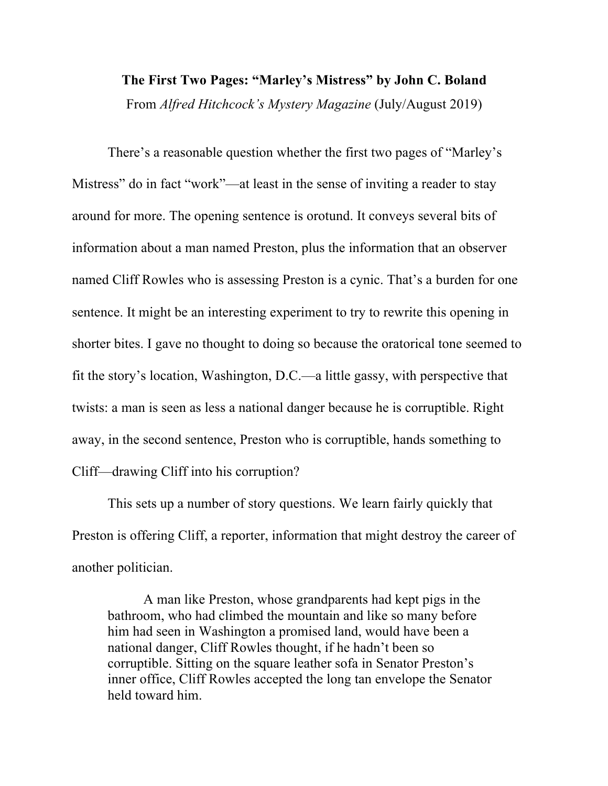## **The First Two Pages: "Marley's Mistress" by John C. Boland** From *Alfred Hitchcock's Mystery Magazine* (July/August 2019)

There's a reasonable question whether the first two pages of "Marley's Mistress" do in fact "work"—at least in the sense of inviting a reader to stay around for more. The opening sentence is orotund. It conveys several bits of information about a man named Preston, plus the information that an observer named Cliff Rowles who is assessing Preston is a cynic. That's a burden for one sentence. It might be an interesting experiment to try to rewrite this opening in shorter bites. I gave no thought to doing so because the oratorical tone seemed to fit the story's location, Washington, D.C.—a little gassy, with perspective that twists: a man is seen as less a national danger because he is corruptible. Right away, in the second sentence, Preston who is corruptible, hands something to Cliff—drawing Cliff into his corruption?

This sets up a number of story questions. We learn fairly quickly that Preston is offering Cliff, a reporter, information that might destroy the career of another politician.

A man like Preston, whose grandparents had kept pigs in the bathroom, who had climbed the mountain and like so many before him had seen in Washington a promised land, would have been a national danger, Cliff Rowles thought, if he hadn't been so corruptible. Sitting on the square leather sofa in Senator Preston's inner office, Cliff Rowles accepted the long tan envelope the Senator held toward him.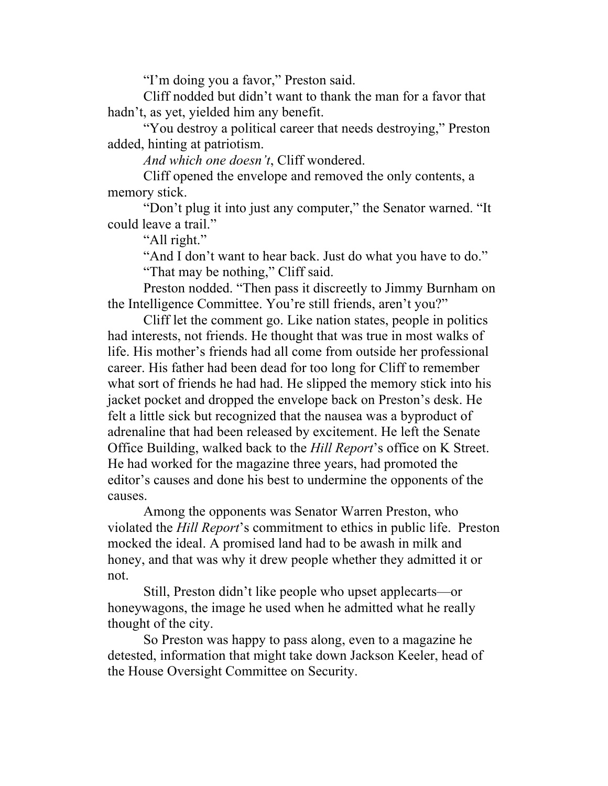"I'm doing you a favor," Preston said.

Cliff nodded but didn't want to thank the man for a favor that hadn't, as yet, yielded him any benefit.

"You destroy a political career that needs destroying," Preston added, hinting at patriotism.

*And which one doesn't*, Cliff wondered.

Cliff opened the envelope and removed the only contents, a memory stick.

"Don't plug it into just any computer," the Senator warned. "It could leave a trail."

"All right."

"And I don't want to hear back. Just do what you have to do." "That may be nothing," Cliff said.

Preston nodded. "Then pass it discreetly to Jimmy Burnham on the Intelligence Committee. You're still friends, aren't you?"

Cliff let the comment go. Like nation states, people in politics had interests, not friends. He thought that was true in most walks of life. His mother's friends had all come from outside her professional career. His father had been dead for too long for Cliff to remember what sort of friends he had had. He slipped the memory stick into his jacket pocket and dropped the envelope back on Preston's desk. He felt a little sick but recognized that the nausea was a byproduct of adrenaline that had been released by excitement. He left the Senate Office Building, walked back to the *Hill Report*'s office on K Street. He had worked for the magazine three years, had promoted the editor's causes and done his best to undermine the opponents of the causes.

Among the opponents was Senator Warren Preston, who violated the *Hill Report*'s commitment to ethics in public life. Preston mocked the ideal. A promised land had to be awash in milk and honey, and that was why it drew people whether they admitted it or not.

Still, Preston didn't like people who upset applecarts—or honeywagons, the image he used when he admitted what he really thought of the city.

So Preston was happy to pass along, even to a magazine he detested, information that might take down Jackson Keeler, head of the House Oversight Committee on Security.